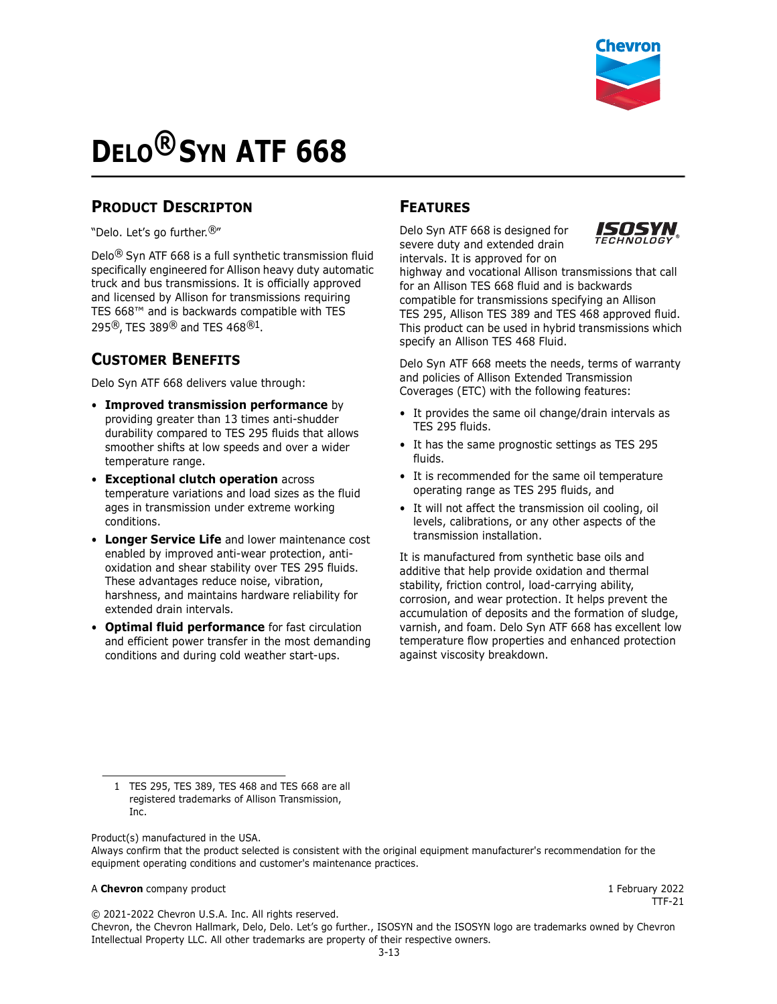

# **DELO® SYN ATF 668**

# **PRODUCT DESCRIPTON**

"Delo. Let's go further.®"

Delo® Syn ATF 668 is a full synthetic transmission fluid specifically engineered for Allison heavy duty automatic truck and bus transmissions. It is officially approved and licensed by Allison for transmissions requiring TES 668™ and is backwards compatible with TES 295®, TES 389® and TES 468®1.

# **CUSTOMER BENEFITS**

Delo Syn ATF 668 delivers value through:

- **Improved transmission performance** by providing greater than 13 times anti-shudder durability compared to TES 295 fluids that allows smoother shifts at low speeds and over a wider temperature range.
- **Exceptional clutch operation** across temperature variations and load sizes as the fluid ages in transmission under extreme working conditions.
- **Longer Service Life** and lower maintenance cost enabled by improved anti-wear protection, antioxidation and shear stability over TES 295 fluids. These advantages reduce noise, vibration, harshness, and maintains hardware reliability for extended drain intervals.
- **Optimal fluid performance** for fast circulation and efficient power transfer in the most demanding conditions and during cold weather start-ups.

### **FEATURES**

Delo Syn ATF 668 is designed for severe duty and extended drain



intervals. It is approved for on highway and vocational Allison transmissions that call for an Allison TES 668 fluid and is backwards compatible for transmissions specifying an Allison TES 295, Allison TES 389 and TES 468 approved fluid. This product can be used in hybrid transmissions which specify an Allison TES 468 Fluid.

Delo Syn ATF 668 meets the needs, terms of warranty and policies of Allison Extended Transmission Coverages (ETC) with the following features:

- It provides the same oil change/drain intervals as TES 295 fluids.
- It has the same prognostic settings as TES 295 fluids.
- It is recommended for the same oil temperature operating range as TES 295 fluids, and
- It will not affect the transmission oil cooling, oil levels, calibrations, or any other aspects of the transmission installation.

It is manufactured from synthetic base oils and additive that help provide oxidation and thermal stability, friction control, load-carrying ability, corrosion, and wear protection. It helps prevent the accumulation of deposits and the formation of sludge, varnish, and foam. Delo Syn ATF 668 has excellent low temperature flow properties and enhanced protection against viscosity breakdown.

Product(s) manufactured in the USA.

#### A **Chevron** company product **1** February 2022

 $TF-21$ 

© 2021-2022 Chevron U.S.A. Inc. All rights reserved.

Chevron, the Chevron Hallmark, Delo, Delo. Let's go further., ISOSYN and the ISOSYN logo are trademarks owned by Chevron Intellectual Property LLC. All other trademarks are property of their respective owners.

<sup>1</sup> TES 295, TES 389, TES 468 and TES 668 are all registered trademarks of Allison Transmission, Inc.

Always confirm that the product selected is consistent with the original equipment manufacturer's recommendation for the equipment operating conditions and customer's maintenance practices.